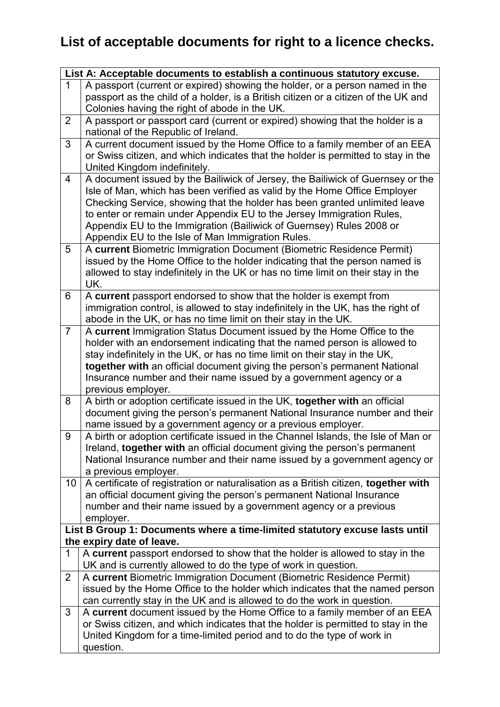## **List of acceptable documents for right to a licence checks.**

| List A: Acceptable documents to establish a continuous statutory excuse.                                 |                                                                                                                                                                                                                                                                                                                                                                                                                                                 |
|----------------------------------------------------------------------------------------------------------|-------------------------------------------------------------------------------------------------------------------------------------------------------------------------------------------------------------------------------------------------------------------------------------------------------------------------------------------------------------------------------------------------------------------------------------------------|
| $\mathbf 1$                                                                                              | A passport (current or expired) showing the holder, or a person named in the<br>passport as the child of a holder, is a British citizen or a citizen of the UK and<br>Colonies having the right of abode in the UK.                                                                                                                                                                                                                             |
| $\overline{2}$                                                                                           | A passport or passport card (current or expired) showing that the holder is a<br>national of the Republic of Ireland.                                                                                                                                                                                                                                                                                                                           |
| 3                                                                                                        | A current document issued by the Home Office to a family member of an EEA<br>or Swiss citizen, and which indicates that the holder is permitted to stay in the<br>United Kingdom indefinitely.                                                                                                                                                                                                                                                  |
| $\overline{4}$                                                                                           | A document issued by the Bailiwick of Jersey, the Bailiwick of Guernsey or the<br>Isle of Man, which has been verified as valid by the Home Office Employer<br>Checking Service, showing that the holder has been granted unlimited leave<br>to enter or remain under Appendix EU to the Jersey Immigration Rules,<br>Appendix EU to the Immigration (Bailiwick of Guernsey) Rules 2008 or<br>Appendix EU to the Isle of Man Immigration Rules. |
| 5                                                                                                        | A current Biometric Immigration Document (Biometric Residence Permit)<br>issued by the Home Office to the holder indicating that the person named is<br>allowed to stay indefinitely in the UK or has no time limit on their stay in the<br>UK.                                                                                                                                                                                                 |
| 6                                                                                                        | A current passport endorsed to show that the holder is exempt from<br>immigration control, is allowed to stay indefinitely in the UK, has the right of<br>abode in the UK, or has no time limit on their stay in the UK.                                                                                                                                                                                                                        |
| $\overline{7}$                                                                                           | A current Immigration Status Document issued by the Home Office to the<br>holder with an endorsement indicating that the named person is allowed to<br>stay indefinitely in the UK, or has no time limit on their stay in the UK,<br>together with an official document giving the person's permanent National<br>Insurance number and their name issued by a government agency or a<br>previous employer.                                      |
| 8                                                                                                        | A birth or adoption certificate issued in the UK, together with an official<br>document giving the person's permanent National Insurance number and their<br>name issued by a government agency or a previous employer.                                                                                                                                                                                                                         |
| 9                                                                                                        | A birth or adoption certificate issued in the Channel Islands, the Isle of Man or<br>Ireland, together with an official document giving the person's permanent<br>National Insurance number and their name issued by a government agency or<br>a previous employer.                                                                                                                                                                             |
| 10                                                                                                       | A certificate of registration or naturalisation as a British citizen, together with<br>an official document giving the person's permanent National Insurance<br>number and their name issued by a government agency or a previous<br>employer.                                                                                                                                                                                                  |
| List B Group 1: Documents where a time-limited statutory excuse lasts until<br>the expiry date of leave. |                                                                                                                                                                                                                                                                                                                                                                                                                                                 |
| $\mathbf 1$                                                                                              | A current passport endorsed to show that the holder is allowed to stay in the                                                                                                                                                                                                                                                                                                                                                                   |
|                                                                                                          | UK and is currently allowed to do the type of work in question.                                                                                                                                                                                                                                                                                                                                                                                 |
| $\overline{2}$                                                                                           | A current Biometric Immigration Document (Biometric Residence Permit)<br>issued by the Home Office to the holder which indicates that the named person<br>can currently stay in the UK and is allowed to do the work in question.                                                                                                                                                                                                               |
| 3                                                                                                        | A current document issued by the Home Office to a family member of an EEA<br>or Swiss citizen, and which indicates that the holder is permitted to stay in the<br>United Kingdom for a time-limited period and to do the type of work in<br>question.                                                                                                                                                                                           |